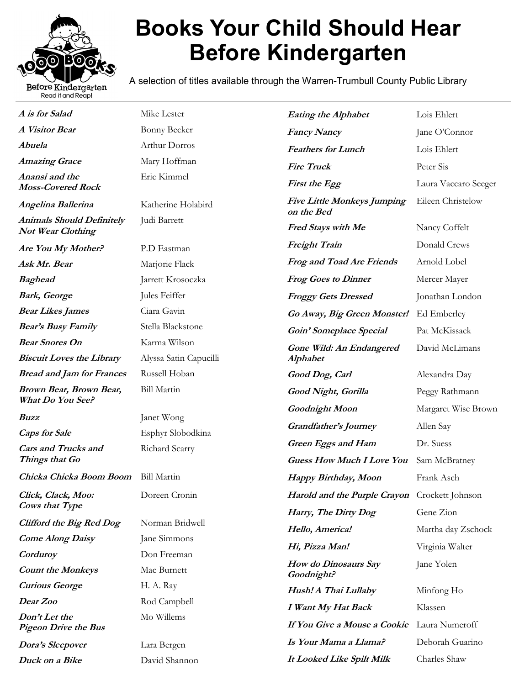

## **Books Your Child Should Hear Before Kindergarten**

A selection of titles available through the Warren-Trumbull County Public Library

| A is for Salad                                               | Mike Lester                            | <b>Eating the Alphabet</b>                       | Lois Ehlert          |
|--------------------------------------------------------------|----------------------------------------|--------------------------------------------------|----------------------|
| A Visitor Bear                                               | <b>Bonny Becker</b>                    | <b>Fancy Nancy</b>                               | Jane O'Connor        |
| Abuela                                                       | Arthur Dorros                          | <b>Feathers for Lunch</b>                        | Lois Ehlert          |
| <b>Amazing Grace</b>                                         | Mary Hoffman                           | <b>Fire Truck</b>                                | Peter Sis            |
| Anansi and the<br><b>Moss-Covered Rock</b>                   | Eric Kimmel                            | First the Egg                                    | Laura Vaccaro Seeger |
| Angelina Ballerina                                           | Katherine Holabird                     | <b>Five Little Monkeys Jumping</b><br>on the Bed | Eileen Christelow    |
| <b>Animals Should Definitely</b><br><b>Not Wear Clothing</b> | Judi Barrett                           | Fred Stays with Me                               | Nancy Coffelt        |
| Are You My Mother?                                           | P.D Eastman                            | <b>Freight Train</b>                             | Donald Crews         |
| Ask Mr. Bear                                                 | Marjorie Flack                         | <b>Frog and Toad Are Friends</b>                 | Arnold Lobel         |
| <b>Baghead</b>                                               | Jarrett Krosoczka                      | <b>Frog Goes to Dinner</b>                       | Mercer Mayer         |
| <b>Bark, George</b>                                          | Jules Feiffer                          | <b>Froggy Gets Dressed</b>                       | Jonathan London      |
| <b>Bear Likes James</b>                                      | Ciara Gavin                            | Go Away, Big Green Monster!                      | Ed Emberley          |
| <b>Bear's Busy Family</b>                                    | Stella Blackstone                      | Goin' Someplace Special                          | Pat McKissack        |
| <b>Bear Snores On</b><br><b>Biscuit Loves the Library</b>    | Karma Wilson<br>Alyssa Satin Capucilli | Gone Wild: An Endangered<br><b>Alphabet</b>      | David McLimans       |
| <b>Bread and Jam for Frances</b>                             | Russell Hoban                          | Good Dog, Carl                                   | Alexandra Day        |
| Brown Bear, Brown Bear,<br>What Do You See?                  | <b>Bill Martin</b>                     | Good Night, Gorilla                              | Peggy Rathmann       |
|                                                              |                                        | Goodnight Moon                                   | Margaret Wise Brown  |
| Buzz<br><b>Caps for Sale</b>                                 | Janet Wong<br>Esphyr Slobodkina        | Grandfather's Journey                            | Allen Say            |
| <b>Cars and Trucks and</b>                                   | Richard Scarry                         | <b>Green Eggs and Ham</b>                        | Dr. Suess            |
| Things that Go                                               |                                        | <b>Guess How Much I Love You</b>                 | Sam McBratney        |
| Chicka Chicka Boom Boom Bill Martin                          |                                        | Happy Birthday, Moon                             | Frank Asch           |
| Click, Clack, Moo:<br>Cows that Type                         | Doreen Cronin                          | Harold and the Purple Crayon Crockett Johnson    |                      |
|                                                              | Norman Bridwell                        | Harry, The Dirty Dog                             | Gene Zion            |
| <b>Clifford the Big Red Dog</b><br><b>Come Along Daisy</b>   | Jane Simmons                           | Hello, America!                                  | Martha day Zschock   |
| Corduroy                                                     | Don Freeman                            | Hi, Pizza Man!                                   | Virginia Walter      |
| <b>Count the Monkeys</b>                                     | Mac Burnett                            | How do Dinosaurs Say<br>Goodnight?               | Jane Yolen           |
| <b>Curious George</b>                                        | H. A. Ray                              | Hush! A Thai Lullaby                             | Minfong Ho           |
| Dear Zoo                                                     | Rod Campbell                           | I Want My Hat Back                               | Klassen              |
| Don't Let the                                                | Mo Willems                             |                                                  |                      |
| <b>Pigeon Drive the Bus</b>                                  |                                        | If You Give a Mouse a Cookie                     | Laura Numeroff       |
| Dora's Sleepover                                             | Lara Bergen                            | Is Your Mama a Llama?                            | Deborah Guarino      |
| Duck on a Bike                                               | David Shannon                          | It Looked Like Spilt Milk                        | Charles Shaw         |